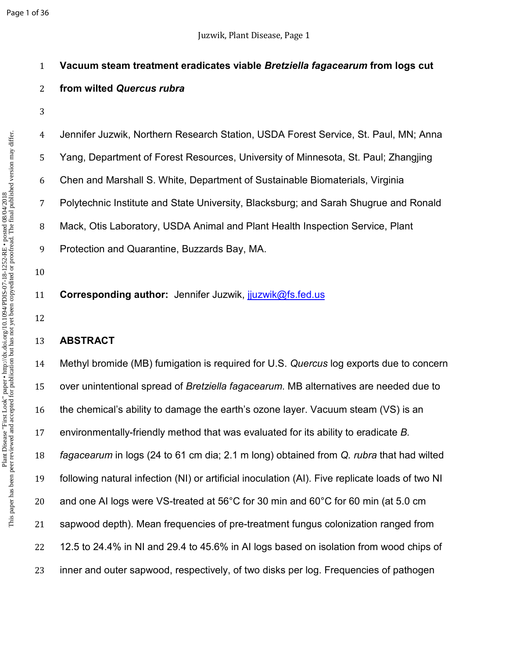# **Vacuum steam treatment eradicates viable** *Bretziella fagacearum* **from logs cut**

# **from wilted** *Quercus rubra*

Jennifer Juzwik, Northern Research Station, USDA Forest Service, St. Paul, MN; Anna Yang, Department of Forest Resources, University of Minnesota, St. Paul; Zhangjing Chen and Marshall S. White, Department of Sustainable Biomaterials, Virginia Polytechnic Institute and State University, Blacksburg; and Sarah Shugrue and Ronald Mack, Otis Laboratory, USDA Animal and Plant Health Inspection Service, Plant

Protection and Quarantine, Buzzards Bay, MA.

- **Corresponding author:** Jennifer Juzwik, jjuzwik@fs.fed.us
- 

# **ABSTRACT**

Methyl bromide (MB) fumigation is required for U.S. *Quercus* log exports due to concern over unintentional spread of *Bretziella fagacearum*. MB alternatives are needed due to the chemical's ability to damage the earth's ozone layer. Vacuum steam (VS) is an environmentally-friendly method that was evaluated for its ability to eradicate *B. fagacearum* in logs (24 to 61 cm dia; 2.1 m long) obtained from *Q. rubra* that had wilted following natural infection (NI) or artificial inoculation (AI). Five replicate loads of two NI and one AI logs were VS-treated at 56°C for 30 min and 60°C for 60 min (at 5.0 cm sapwood depth). Mean frequencies of pre-treatment fungus colonization ranged from 12.5 to 24.4% in NI and 29.4 to 45.6% in AI logs based on isolation from wood chips of inner and outer sapwood, respectively, of two disks per log. Frequencies of pathogen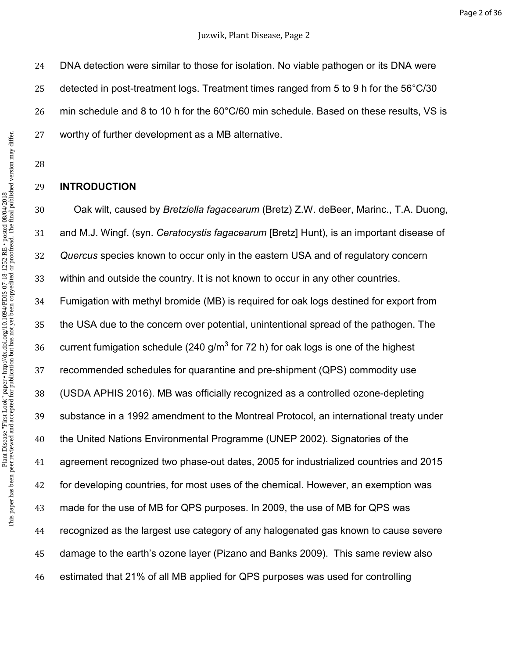DNA detection were similar to those for isolation. No viable pathogen or its DNA were detected in post-treatment logs. Treatment times ranged from 5 to 9 h for the 56°C/30 min schedule and 8 to 10 h for the 60°C/60 min schedule. Based on these results, VS is worthy of further development as a MB alternative.

## **INTRODUCTION**

Oak wilt, caused by *Bretziella fagacearum* (Bretz) Z.W. deBeer, Marinc., T.A. Duong, and M.J. Wingf. (syn. *Ceratocystis fagacearum* [Bretz] Hunt), is an important disease of *Quercus* species known to occur only in the eastern USA and of regulatory concern within and outside the country. It is not known to occur in any other countries. Fumigation with methyl bromide (MB) is required for oak logs destined for export from the USA due to the concern over potential, unintentional spread of the pathogen. The 36 current fumigation schedule (240 g/m<sup>3</sup> for 72 h) for oak logs is one of the highest recommended schedules for quarantine and pre-shipment (QPS) commodity use (USDA APHIS 2016). MB was officially recognized as a controlled ozone-depleting substance in a 1992 amendment to the Montreal Protocol, an international treaty under the United Nations Environmental Programme (UNEP 2002). Signatories of the agreement recognized two phase-out dates, 2005 for industrialized countries and 2015 for developing countries, for most uses of the chemical. However, an exemption was made for the use of MB for QPS purposes. In 2009, the use of MB for QPS was recognized as the largest use category of any halogenated gas known to cause severe damage to the earth's ozone layer (Pizano and Banks 2009). This same review also estimated that 21% of all MB applied for QPS purposes was used for controlling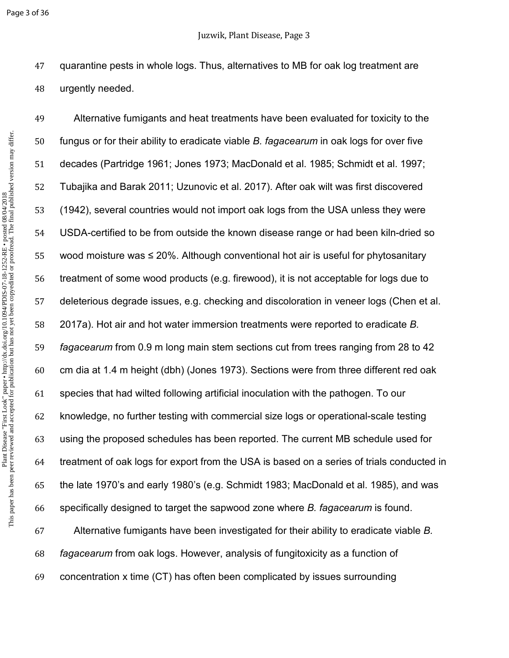quarantine pests in whole logs. Thus, alternatives to MB for oak log treatment are urgently needed.

Alternative fumigants and heat treatments have been evaluated for toxicity to the fungus or for their ability to eradicate viable *B. fagacearum* in oak logs for over five decades (Partridge 1961; Jones 1973; MacDonald et al. 1985; Schmidt et al. 1997; Tubajika and Barak 2011; Uzunovic et al. 2017). After oak wilt was first discovered (1942), several countries would not import oak logs from the USA unless they were USDA-certified to be from outside the known disease range or had been kiln-dried so wood moisture was ≤ 20%. Although conventional hot air is useful for phytosanitary treatment of some wood products (e.g. firewood), it is not acceptable for logs due to deleterious degrade issues, e.g. checking and discoloration in veneer logs (Chen et al. 2017a). Hot air and hot water immersion treatments were reported to eradicate *B. fagacearum* from 0.9 m long main stem sections cut from trees ranging from 28 to 42 cm dia at 1.4 m height (dbh) (Jones 1973). Sections were from three different red oak species that had wilted following artificial inoculation with the pathogen. To our knowledge, no further testing with commercial size logs or operational-scale testing using the proposed schedules has been reported. The current MB schedule used for treatment of oak logs for export from the USA is based on a series of trials conducted in the late 1970's and early 1980's (e.g. Schmidt 1983; MacDonald et al. 1985), and was specifically designed to target the sapwood zone where *B. fagacearum* is found. Alternative fumigants have been investigated for their ability to eradicate viable *B. fagacearum* from oak logs. However, analysis of fungitoxicity as a function of concentration x time (CT) has often been complicated by issues surrounding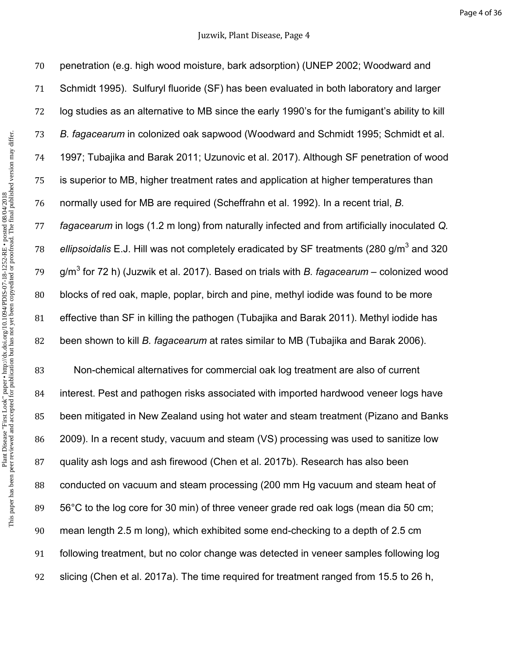This paper has been peer reviewed and accepted for publication but has not yet been copyedited or proofread. The final published version may differ.Plant Disease "First Look" paper • http://dx.doi.org/10.1094/PDIS-07-18-1252-RE • posted 08/04/2018<br>This paper has been peer reviewed and accepted for publication but has not yet been copyedited or proofread. The final pub Plant Disease "First Look" paper • http://dx.doi.org/10.1094/PDIS-07-18-1252-RE • posted 08/04/2018

penetration (e.g. high wood moisture, bark adsorption) (UNEP 2002; Woodward and Schmidt 1995). Sulfuryl fluoride (SF) has been evaluated in both laboratory and larger log studies as an alternative to MB since the early 1990's for the fumigant's ability to kill *B. fagacearum* in colonized oak sapwood (Woodward and Schmidt 1995; Schmidt et al. 1997; Tubajika and Barak 2011; Uzunovic et al. 2017). Although SF penetration of wood is superior to MB, higher treatment rates and application at higher temperatures than normally used for MB are required (Scheffrahn et al. 1992). In a recent trial, *B. fagacearum* in logs (1.2 m long) from naturally infected and from artificially inoculated *Q.*  78 ellipsoidalis E.J. Hill was not completely eradicated by SF treatments (280 g/m<sup>3</sup> and 320 79 g/m<sup>3</sup> for 72 h) (Juzwik et al. 2017). Based on trials with *B. fagacearum* – colonized wood blocks of red oak, maple, poplar, birch and pine, methyl iodide was found to be more effective than SF in killing the pathogen (Tubajika and Barak 2011). Methyl iodide has been shown to kill *B. fagacearum* at rates similar to MB (Tubajika and Barak 2006).

Non-chemical alternatives for commercial oak log treatment are also of current interest. Pest and pathogen risks associated with imported hardwood veneer logs have been mitigated in New Zealand using hot water and steam treatment (Pizano and Banks 2009). In a recent study, vacuum and steam (VS) processing was used to sanitize low quality ash logs and ash firewood (Chen et al. 2017b). Research has also been conducted on vacuum and steam processing (200 mm Hg vacuum and steam heat of 56°C to the log core for 30 min) of three veneer grade red oak logs (mean dia 50 cm; mean length 2.5 m long), which exhibited some end-checking to a depth of 2.5 cm following treatment, but no color change was detected in veneer samples following log slicing (Chen et al. 2017a). The time required for treatment ranged from 15.5 to 26 h,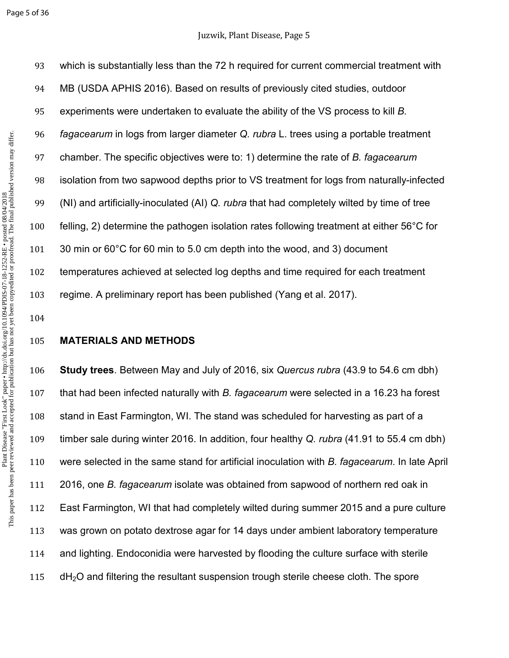which is substantially less than the 72 h required for current commercial treatment with MB (USDA APHIS 2016). Based on results of previously cited studies, outdoor experiments were undertaken to evaluate the ability of the VS process to kill *B. fagacearum* in logs from larger diameter *Q. rubra* L. trees using a portable treatment chamber. The specific objectives were to: 1) determine the rate of *B. fagacearum* isolation from two sapwood depths prior to VS treatment for logs from naturally-infected (NI) and artificially-inoculated (AI) *Q. rubra* that had completely wilted by time of tree felling, 2) determine the pathogen isolation rates following treatment at either 56°C for 30 min or 60°C for 60 min to 5.0 cm depth into the wood, and 3) document temperatures achieved at selected log depths and time required for each treatment regime. A preliminary report has been published (Yang et al. 2017).

## **MATERIALS AND METHODS**

**Study trees**. Between May and July of 2016, six *Quercus rubra* (43.9 to 54.6 cm dbh) that had been infected naturally with *B. fagacearum* were selected in a 16.23 ha forest stand in East Farmington, WI. The stand was scheduled for harvesting as part of a timber sale during winter 2016. In addition, four healthy *Q. rubra* (41.91 to 55.4 cm dbh) were selected in the same stand for artificial inoculation with *B. fagacearum*. In late April 2016, one *B. fagacearum* isolate was obtained from sapwood of northern red oak in East Farmington, WI that had completely wilted during summer 2015 and a pure culture was grown on potato dextrose agar for 14 days under ambient laboratory temperature and lighting. Endoconidia were harvested by flooding the culture surface with sterile 115 dH<sub>2</sub>O and filtering the resultant suspension trough sterile cheese cloth. The spore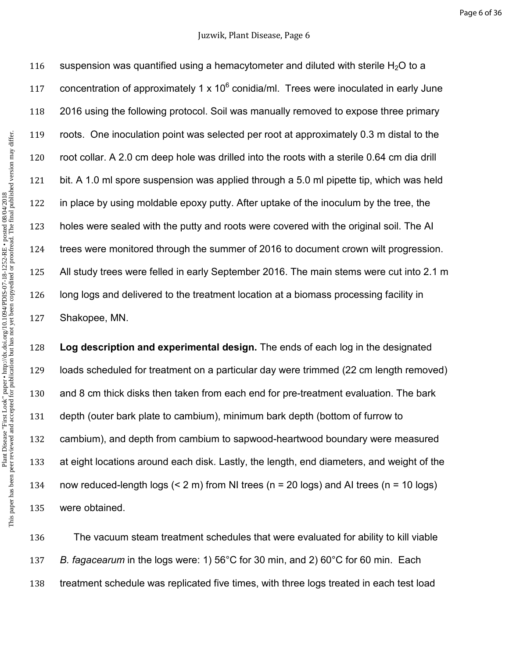#### Juzwik, Plant Disease, Page 6

116 suspension was quantified using a hemacytometer and diluted with sterile  $H_2O$  to a 117 concentration of approximately 1 x 10 $^6$  conidia/ml. Trees were inoculated in early June 2016 using the following protocol. Soil was manually removed to expose three primary roots. One inoculation point was selected per root at approximately 0.3 m distal to the root collar. A 2.0 cm deep hole was drilled into the roots with a sterile 0.64 cm dia drill bit. A 1.0 ml spore suspension was applied through a 5.0 ml pipette tip, which was held in place by using moldable epoxy putty. After uptake of the inoculum by the tree, the holes were sealed with the putty and roots were covered with the original soil. The AI trees were monitored through the summer of 2016 to document crown wilt progression. All study trees were felled in early September 2016. The main stems were cut into 2.1 m long logs and delivered to the treatment location at a biomass processing facility in Shakopee, MN.

**Log description and experimental design.** The ends of each log in the designated loads scheduled for treatment on a particular day were trimmed (22 cm length removed) and 8 cm thick disks then taken from each end for pre-treatment evaluation. The bark depth (outer bark plate to cambium), minimum bark depth (bottom of furrow to cambium), and depth from cambium to sapwood-heartwood boundary were measured at eight locations around each disk. Lastly, the length, end diameters, and weight of the now reduced-length logs (< 2 m) from NI trees (n = 20 logs) and AI trees (n = 10 logs) were obtained.

The vacuum steam treatment schedules that were evaluated for ability to kill viable *B. fagacearum* in the logs were: 1) 56°C for 30 min, and 2) 60°C for 60 min. Each treatment schedule was replicated five times, with three logs treated in each test load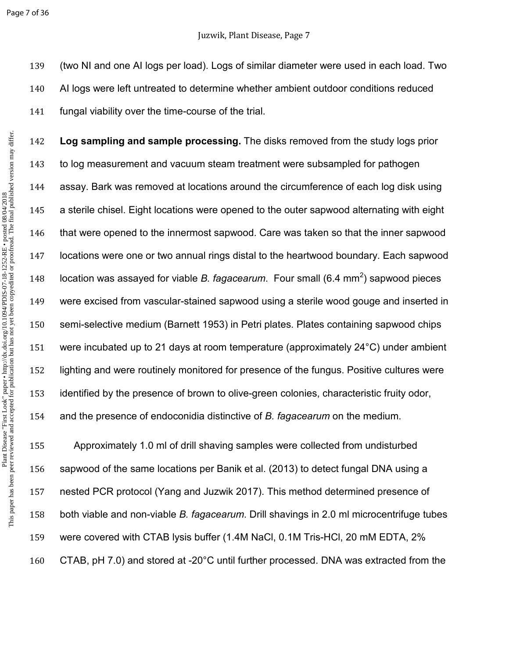(two NI and one AI logs per load). Logs of similar diameter were used in each load. Two AI logs were left untreated to determine whether ambient outdoor conditions reduced fungal viability over the time-course of the trial.

**Log sampling and sample processing.** The disks removed from the study logs prior to log measurement and vacuum steam treatment were subsampled for pathogen assay. Bark was removed at locations around the circumference of each log disk using a sterile chisel. Eight locations were opened to the outer sapwood alternating with eight that were opened to the innermost sapwood. Care was taken so that the inner sapwood locations were one or two annual rings distal to the heartwood boundary. Each sapwood 148 location was assayed for viable *B. fagacearum*. Four small (6.4 mm<sup>2</sup>) sapwood pieces were excised from vascular-stained sapwood using a sterile wood gouge and inserted in semi-selective medium (Barnett 1953) in Petri plates. Plates containing sapwood chips were incubated up to 21 days at room temperature (approximately 24°C) under ambient lighting and were routinely monitored for presence of the fungus. Positive cultures were identified by the presence of brown to olive-green colonies, characteristic fruity odor, and the presence of endoconidia distinctive of *B. fagacearum* on the medium.

Approximately 1.0 ml of drill shaving samples were collected from undisturbed sapwood of the same locations per Banik et al. (2013) to detect fungal DNA using a nested PCR protocol (Yang and Juzwik 2017). This method determined presence of both viable and non-viable *B. fagacearum*. Drill shavings in 2.0 ml microcentrifuge tubes were covered with CTAB lysis buffer (1.4M NaCl, 0.1M Tris-HCl, 20 mM EDTA, 2% CTAB, pH 7.0) and stored at -20°C until further processed. DNA was extracted from the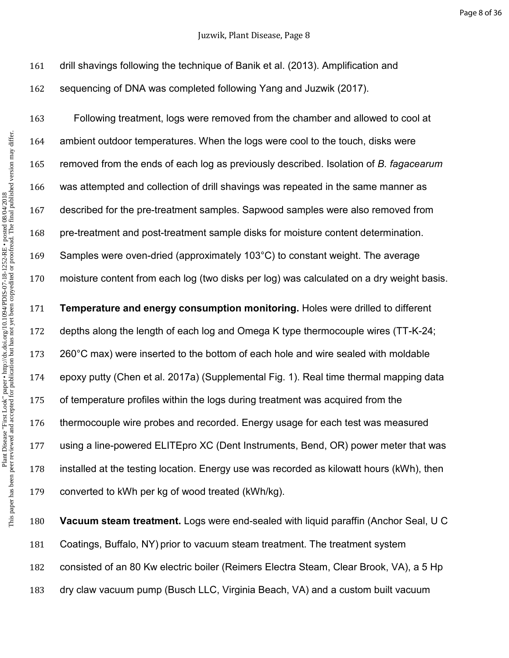## Juzwik, Plant Disease, Page 8

drill shavings following the technique of Banik et al. (2013). Amplification and sequencing of DNA was completed following Yang and Juzwik (2017).

Following treatment, logs were removed from the chamber and allowed to cool at ambient outdoor temperatures. When the logs were cool to the touch, disks were removed from the ends of each log as previously described. Isolation of *B. fagacearum* was attempted and collection of drill shavings was repeated in the same manner as described for the pre-treatment samples. Sapwood samples were also removed from pre-treatment and post-treatment sample disks for moisture content determination. Samples were oven-dried (approximately 103°C) to constant weight. The average moisture content from each log (two disks per log) was calculated on a dry weight basis.

**Temperature and energy consumption monitoring.** Holes were drilled to different depths along the length of each log and Omega K type thermocouple wires (TT-K-24; 260°C max) were inserted to the bottom of each hole and wire sealed with moldable epoxy putty (Chen et al. 2017a) (Supplemental Fig. 1). Real time thermal mapping data of temperature profiles within the logs during treatment was acquired from the thermocouple wire probes and recorded. Energy usage for each test was measured using a line-powered ELITEpro XC (Dent Instruments, Bend, OR) power meter that was installed at the testing location. Energy use was recorded as kilowatt hours (kWh), then converted to kWh per kg of wood treated (kWh/kg).

**Vacuum steam treatment.** Logs were end-sealed with liquid paraffin (Anchor Seal, U C Coatings, Buffalo, NY) prior to vacuum steam treatment. The treatment system consisted of an 80 Kw electric boiler (Reimers Electra Steam, Clear Brook, VA), a 5 Hp dry claw vacuum pump (Busch LLC, Virginia Beach, VA) and a custom built vacuum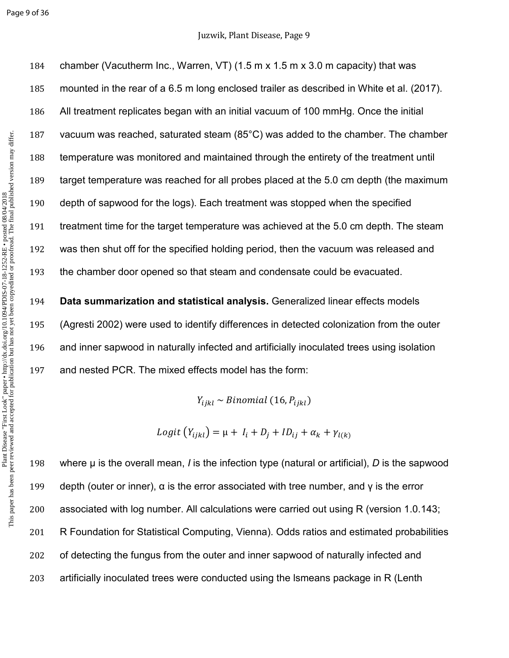Page 9 of 36

## Juzwik, Plant Disease, Page 9

chamber (Vacutherm Inc., Warren, VT) (1.5 m x 1.5 m x 3.0 m capacity) that was mounted in the rear of a 6.5 m long enclosed trailer as described in White et al. (2017). All treatment replicates began with an initial vacuum of 100 mmHg. Once the initial vacuum was reached, saturated steam (85°C) was added to the chamber. The chamber temperature was monitored and maintained through the entirety of the treatment until target temperature was reached for all probes placed at the 5.0 cm depth (the maximum depth of sapwood for the logs). Each treatment was stopped when the specified treatment time for the target temperature was achieved at the 5.0 cm depth. The steam was then shut off for the specified holding period, then the vacuum was released and the chamber door opened so that steam and condensate could be evacuated.

**Data summarization and statistical analysis.** Generalized linear effects models (Agresti 2002) were used to identify differences in detected colonization from the outer and inner sapwood in naturally infected and artificially inoculated trees using isolation and nested PCR. The mixed effects model has the form:

 $Y_{ijkl} \sim Binomial\ (16, P_{ijkl})$ 

 $Logit(Y_{ijkl}) = \mu + I_i + D_j + ID_{ij} + \alpha_k + \gamma_{l(k)}$ 

where µ is the overall mean, *I* is the infection type (natural or artificial), *D* is the sapwood 199 depth (outer or inner),  $\alpha$  is the error associated with tree number, and  $\gamma$  is the error associated with log number. All calculations were carried out using R (version 1.0.143; R Foundation for Statistical Computing, Vienna). Odds ratios and estimated probabilities 202 of detecting the fungus from the outer and inner sapwood of naturally infected and artificially inoculated trees were conducted using the lsmeans package in R (Lenth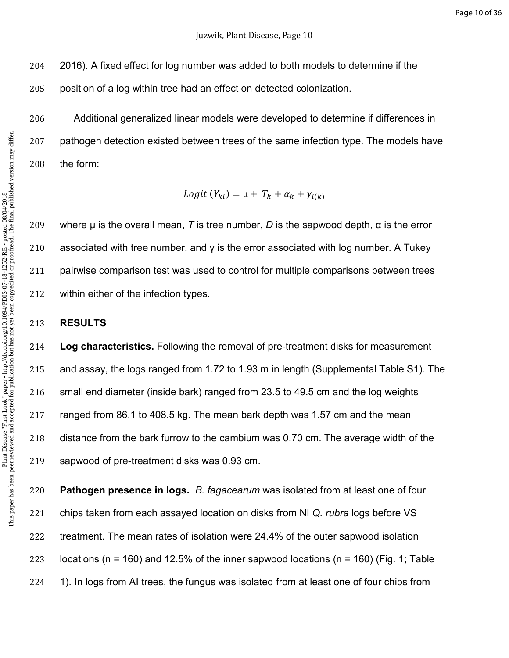2016). A fixed effect for log number was added to both models to determine if the

position of a log within tree had an effect on detected colonization.

Additional generalized linear models were developed to determine if differences in pathogen detection existed between trees of the same infection type. The models have the form:

 $Logit(Y_{kl}) = \mu + T_k + \alpha_k + \gamma_{l(k)}$ 

209 where  $\mu$  is the overall mean, *T* is tree number, *D* is the sapwood depth,  $\alpha$  is the error 210 associated with tree number, and  $\gamma$  is the error associated with log number. A Tukey pairwise comparison test was used to control for multiple comparisons between trees within either of the infection types.

#### **RESULTS**

**Log characteristics.** Following the removal of pre-treatment disks for measurement and assay, the logs ranged from 1.72 to 1.93 m in length (Supplemental Table S1). The small end diameter (inside bark) ranged from 23.5 to 49.5 cm and the log weights ranged from 86.1 to 408.5 kg. The mean bark depth was 1.57 cm and the mean distance from the bark furrow to the cambium was 0.70 cm. The average width of the sapwood of pre-treatment disks was 0.93 cm.

**Pathogen presence in logs.** *B. fagacearum* was isolated from at least one of four chips taken from each assayed location on disks from NI *Q. rubra* logs before VS treatment. The mean rates of isolation were 24.4% of the outer sapwood isolation 223 locations (n = 160) and 12.5% of the inner sapwood locations (n = 160) (Fig. 1; Table 1). In logs from AI trees, the fungus was isolated from at least one of four chips from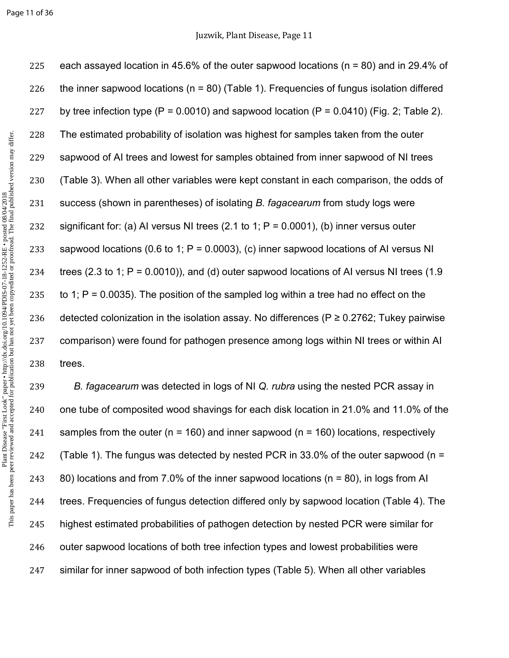Page 11 of 36

225 each assayed location in 45.6% of the outer sapwood locations (n = 80) and in 29.4% of 226 the inner sapwood locations ( $n = 80$ ) (Table 1). Frequencies of fungus isolation differed 227 by tree infection type  $(P = 0.0010)$  and sapwood location  $(P = 0.0410)$  (Fig. 2; Table 2). 228 The estimated probability of isolation was highest for samples taken from the outer 229 sapwood of AI trees and lowest for samples obtained from inner sapwood of NI trees 230 (Table 3). When all other variables were kept constant in each comparison, the odds of 231 success (shown in parentheses) of isolating *B. fagacearum* from study logs were 232 significant for: (a) AI versus NI trees (2.1 to 1;  $P = 0.0001$ ), (b) inner versus outer 233 sapwood locations (0.6 to 1;  $P = 0.0003$ ), (c) inner sapwood locations of AI versus NI 234 trees (2.3 to 1;  $P = 0.0010$ )), and (d) outer sapwood locations of AI versus NI trees (1.9 235 to 1;  $P = 0.0035$ ). The position of the sampled log within a tree had no effect on the 236 detected colonization in the isolation assay. No differences ( $P \ge 0.2762$ ; Tukey pairwise 237 comparison) were found for pathogen presence among logs within NI trees or within AI 238 trees.

*B. fagacearum* was detected in logs of NI *Q. rubra* using the nested PCR assay in one tube of composited wood shavings for each disk location in 21.0% and 11.0% of the 241 samples from the outer ( $n = 160$ ) and inner sapwood ( $n = 160$ ) locations, respectively 242 (Table 1). The fungus was detected by nested PCR in 33.0% of the outer sapwood ( $n =$ 80) locations and from 7.0% of the inner sapwood locations (n = 80), in logs from AI trees. Frequencies of fungus detection differed only by sapwood location (Table 4). The highest estimated probabilities of pathogen detection by nested PCR were similar for 246 outer sapwood locations of both tree infection types and lowest probabilities were similar for inner sapwood of both infection types (Table 5). When all other variables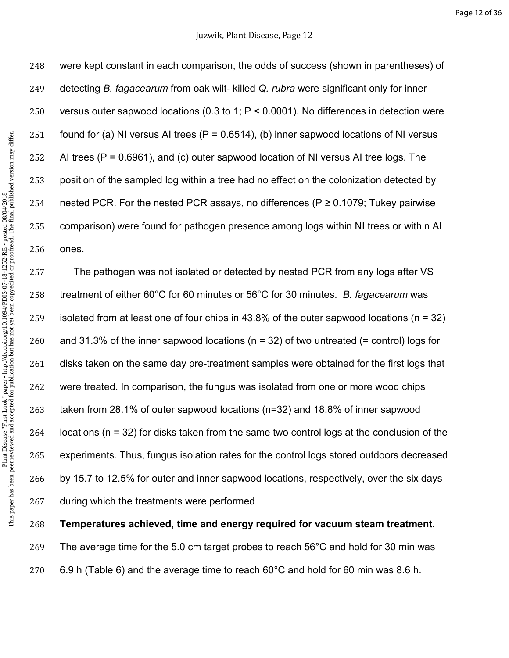were kept constant in each comparison, the odds of success (shown in parentheses) of detecting *B. fagacearum* from oak wilt- killed *Q. rubra* were significant only for inner versus outer sapwood locations (0.3 to 1; P < 0.0001). No differences in detection were 251 found for (a) NI versus AI trees ( $P = 0.6514$ ), (b) inner sapwood locations of NI versus 252 AI trees  $(P = 0.6961)$ , and  $(c)$  outer sapwood location of NI versus AI tree logs. The position of the sampled log within a tree had no effect on the colonization detected by 254 nested PCR. For the nested PCR assays, no differences ( $P \ge 0.1079$ ; Tukey pairwise comparison) were found for pathogen presence among logs within NI trees or within AI ones.

The pathogen was not isolated or detected by nested PCR from any logs after VS treatment of either 60°C for 60 minutes or 56°C for 30 minutes. *B. fagacearum* was isolated from at least one of four chips in 43.8% of the outer sapwood locations (n = 32) 260 and 31.3% of the inner sapwood locations ( $n = 32$ ) of two untreated (= control) logs for 261 disks taken on the same day pre-treatment samples were obtained for the first logs that were treated. In comparison, the fungus was isolated from one or more wood chips taken from 28.1% of outer sapwood locations (n=32) and 18.8% of inner sapwood locations (n = 32) for disks taken from the same two control logs at the conclusion of the experiments. Thus, fungus isolation rates for the control logs stored outdoors decreased by 15.7 to 12.5% for outer and inner sapwood locations, respectively, over the six days during which the treatments were performed

**Temperatures achieved, time and energy required for vacuum steam treatment.**

The average time for the 5.0 cm target probes to reach 56°C and hold for 30 min was

270 6.9 h (Table 6) and the average time to reach  $60^{\circ}$ C and hold for 60 min was 8.6 h.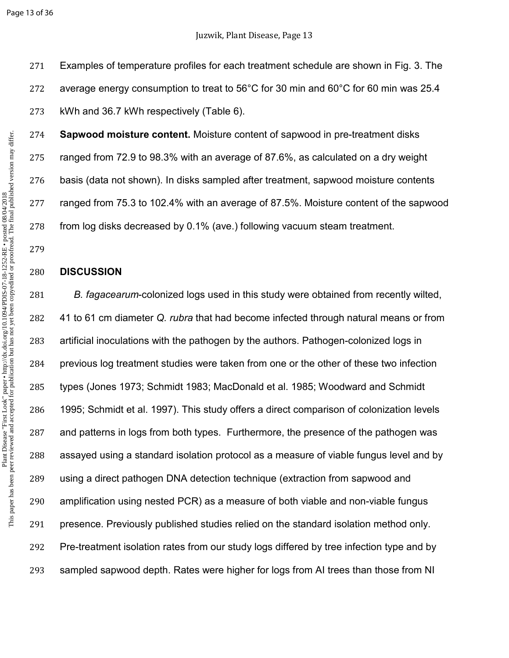Page 13 of 36

Examples of temperature profiles for each treatment schedule are shown in Fig. 3. The average energy consumption to treat to 56°C for 30 min and 60°C for 60 min was 25.4 kWh and 36.7 kWh respectively (Table 6).

**Sapwood moisture content.** Moisture content of sapwood in pre-treatment disks ranged from 72.9 to 98.3% with an average of 87.6%, as calculated on a dry weight basis (data not shown). In disks sampled after treatment, sapwood moisture contents ranged from 75.3 to 102.4% with an average of 87.5%. Moisture content of the sapwood from log disks decreased by 0.1% (ave.) following vacuum steam treatment.

## **DISCUSSION**

*B. fagacearum*-colonized logs used in this study were obtained from recently wilted, 41 to 61 cm diameter *Q. rubra* that had become infected through natural means or from artificial inoculations with the pathogen by the authors. Pathogen-colonized logs in previous log treatment studies were taken from one or the other of these two infection types (Jones 1973; Schmidt 1983; MacDonald et al. 1985; Woodward and Schmidt 1995; Schmidt et al. 1997). This study offers a direct comparison of colonization levels and patterns in logs from both types. Furthermore, the presence of the pathogen was assayed using a standard isolation protocol as a measure of viable fungus level and by using a direct pathogen DNA detection technique (extraction from sapwood and amplification using nested PCR) as a measure of both viable and non-viable fungus presence. Previously published studies relied on the standard isolation method only. Pre-treatment isolation rates from our study logs differed by tree infection type and by sampled sapwood depth. Rates were higher for logs from AI trees than those from NI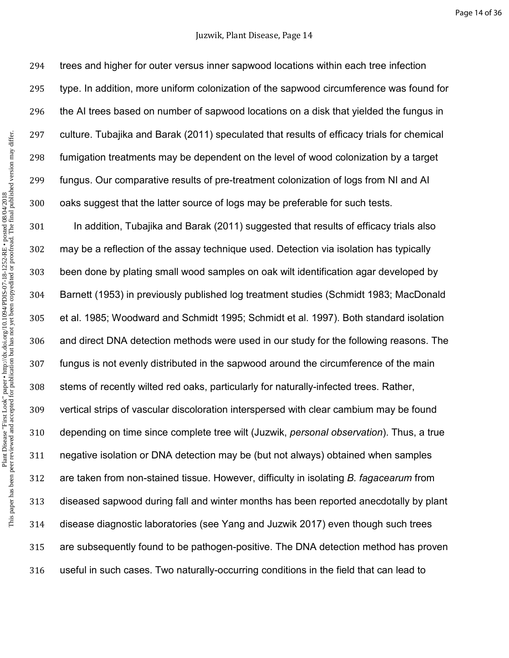#### Juzwik, Plant Disease, Page 14

trees and higher for outer versus inner sapwood locations within each tree infection type. In addition, more uniform colonization of the sapwood circumference was found for the AI trees based on number of sapwood locations on a disk that yielded the fungus in culture. Tubajika and Barak (2011) speculated that results of efficacy trials for chemical fumigation treatments may be dependent on the level of wood colonization by a target fungus. Our comparative results of pre-treatment colonization of logs from NI and AI oaks suggest that the latter source of logs may be preferable for such tests. In addition, Tubajika and Barak (2011) suggested that results of efficacy trials also

may be a reflection of the assay technique used. Detection via isolation has typically been done by plating small wood samples on oak wilt identification agar developed by Barnett (1953) in previously published log treatment studies (Schmidt 1983; MacDonald et al. 1985; Woodward and Schmidt 1995; Schmidt et al. 1997). Both standard isolation and direct DNA detection methods were used in our study for the following reasons. The fungus is not evenly distributed in the sapwood around the circumference of the main stems of recently wilted red oaks, particularly for naturally-infected trees. Rather, vertical strips of vascular discoloration interspersed with clear cambium may be found depending on time since complete tree wilt (Juzwik, *personal observation*). Thus, a true negative isolation or DNA detection may be (but not always) obtained when samples are taken from non-stained tissue. However, difficulty in isolating *B. fagacearum* from diseased sapwood during fall and winter months has been reported anecdotally by plant disease diagnostic laboratories (see Yang and Juzwik 2017) even though such trees are subsequently found to be pathogen-positive. The DNA detection method has proven useful in such cases. Two naturally-occurring conditions in the field that can lead to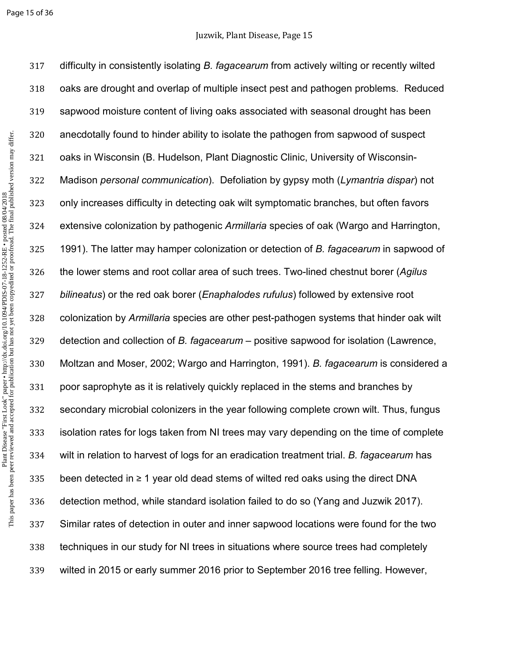Page 15 of 36

difficulty in consistently isolating *B. fagacearum* from actively wilting or recently wilted oaks are drought and overlap of multiple insect pest and pathogen problems. Reduced sapwood moisture content of living oaks associated with seasonal drought has been anecdotally found to hinder ability to isolate the pathogen from sapwood of suspect oaks in Wisconsin (B. Hudelson, Plant Diagnostic Clinic, University of Wisconsin-Madison *personal communication*). Defoliation by gypsy moth (*Lymantria dispar*) not only increases difficulty in detecting oak wilt symptomatic branches, but often favors extensive colonization by pathogenic *Armillaria* species of oak (Wargo and Harrington, 1991). The latter may hamper colonization or detection of *B. fagacearum* in sapwood of the lower stems and root collar area of such trees. Two-lined chestnut borer (*Agilus bilineatus*) or the red oak borer (*Enaphalodes rufulus*) followed by extensive root colonization by *Armillaria* species are other pest-pathogen systems that hinder oak wilt detection and collection of *B. fagacearum* – positive sapwood for isolation (Lawrence, Moltzan and Moser, 2002; Wargo and Harrington, 1991). *B. fagacearum* is considered a poor saprophyte as it is relatively quickly replaced in the stems and branches by secondary microbial colonizers in the year following complete crown wilt. Thus, fungus isolation rates for logs taken from NI trees may vary depending on the time of complete wilt in relation to harvest of logs for an eradication treatment trial. *B. fagacearum* has 335 been detected in  $\geq 1$  year old dead stems of wilted red oaks using the direct DNA detection method, while standard isolation failed to do so (Yang and Juzwik 2017). Similar rates of detection in outer and inner sapwood locations were found for the two techniques in our study for NI trees in situations where source trees had completely wilted in 2015 or early summer 2016 prior to September 2016 tree felling. However,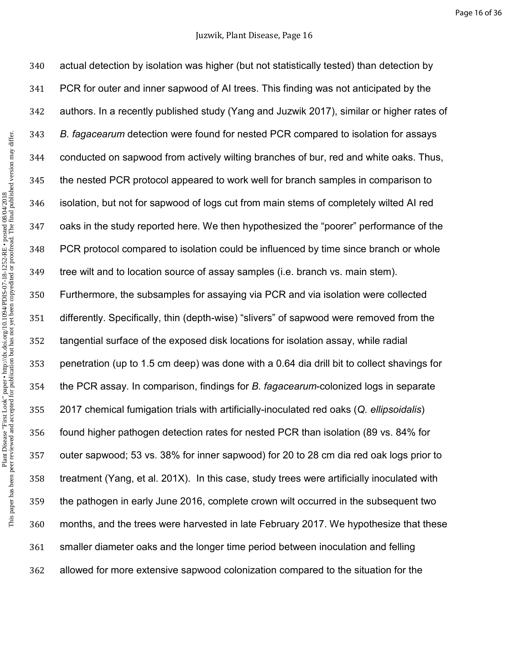This paper has been peer reviewed and accepted for publication but has not yet been copyedited or proofread. The final published version may differ.Plant Disease "First Look" paper • http://dx.doi.org/10.1094/PDIS-07-18-1252-RE • posted 08/04/2018<br>This paper has been peer reviewed and accepted for publication but has not yet been copyedited or proofread. The final pub Plant Disease "First Look" paper • http://dx.doi.org/10.1094/PDIS-07-18-1252-RE • posted 08/04/2018

actual detection by isolation was higher (but not statistically tested) than detection by PCR for outer and inner sapwood of AI trees. This finding was not anticipated by the authors. In a recently published study (Yang and Juzwik 2017), similar or higher rates of *B. fagacearum* detection were found for nested PCR compared to isolation for assays conducted on sapwood from actively wilting branches of bur, red and white oaks. Thus, the nested PCR protocol appeared to work well for branch samples in comparison to isolation, but not for sapwood of logs cut from main stems of completely wilted AI red oaks in the study reported here. We then hypothesized the "poorer" performance of the PCR protocol compared to isolation could be influenced by time since branch or whole tree wilt and to location source of assay samples (i.e. branch vs. main stem). Furthermore, the subsamples for assaying via PCR and via isolation were collected differently. Specifically, thin (depth-wise) "slivers" of sapwood were removed from the tangential surface of the exposed disk locations for isolation assay, while radial penetration (up to 1.5 cm deep) was done with a 0.64 dia drill bit to collect shavings for the PCR assay. In comparison, findings for *B. fagacearum*-colonized logs in separate 2017 chemical fumigation trials with artificially-inoculated red oaks (*Q. ellipsoidalis*) found higher pathogen detection rates for nested PCR than isolation (89 vs. 84% for outer sapwood; 53 vs. 38% for inner sapwood) for 20 to 28 cm dia red oak logs prior to treatment (Yang, et al. 201X). In this case, study trees were artificially inoculated with the pathogen in early June 2016, complete crown wilt occurred in the subsequent two months, and the trees were harvested in late February 2017. We hypothesize that these smaller diameter oaks and the longer time period between inoculation and felling allowed for more extensive sapwood colonization compared to the situation for the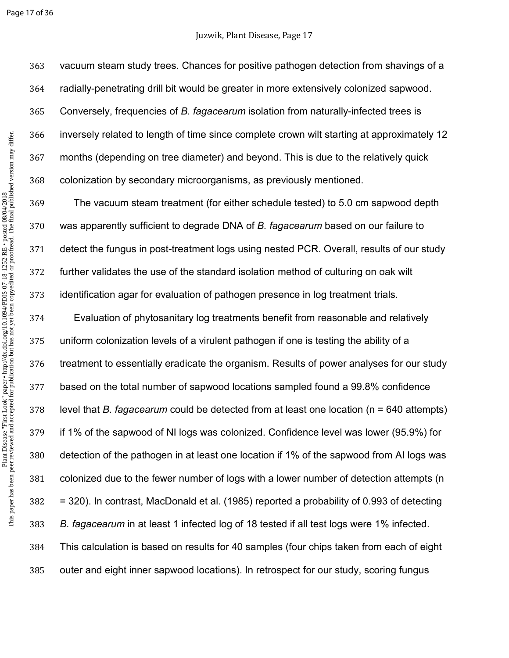Page 17 of 36

## Juzwik, Plant Disease, Page 17

vacuum steam study trees. Chances for positive pathogen detection from shavings of a radially-penetrating drill bit would be greater in more extensively colonized sapwood. Conversely, frequencies of *B. fagacearum* isolation from naturally-infected trees is inversely related to length of time since complete crown wilt starting at approximately 12 months (depending on tree diameter) and beyond. This is due to the relatively quick colonization by secondary microorganisms, as previously mentioned.

The vacuum steam treatment (for either schedule tested) to 5.0 cm sapwood depth was apparently sufficient to degrade DNA of *B. fagacearum* based on our failure to detect the fungus in post-treatment logs using nested PCR. Overall, results of our study further validates the use of the standard isolation method of culturing on oak wilt identification agar for evaluation of pathogen presence in log treatment trials.

Evaluation of phytosanitary log treatments benefit from reasonable and relatively uniform colonization levels of a virulent pathogen if one is testing the ability of a treatment to essentially eradicate the organism. Results of power analyses for our study based on the total number of sapwood locations sampled found a 99.8% confidence level that *B. fagacearum* could be detected from at least one location (n = 640 attempts) if 1% of the sapwood of NI logs was colonized. Confidence level was lower (95.9%) for detection of the pathogen in at least one location if 1% of the sapwood from AI logs was colonized due to the fewer number of logs with a lower number of detection attempts (n = 320). In contrast, MacDonald et al. (1985) reported a probability of 0.993 of detecting *B. fagacearum* in at least 1 infected log of 18 tested if all test logs were 1% infected. This calculation is based on results for 40 samples (four chips taken from each of eight outer and eight inner sapwood locations). In retrospect for our study, scoring fungus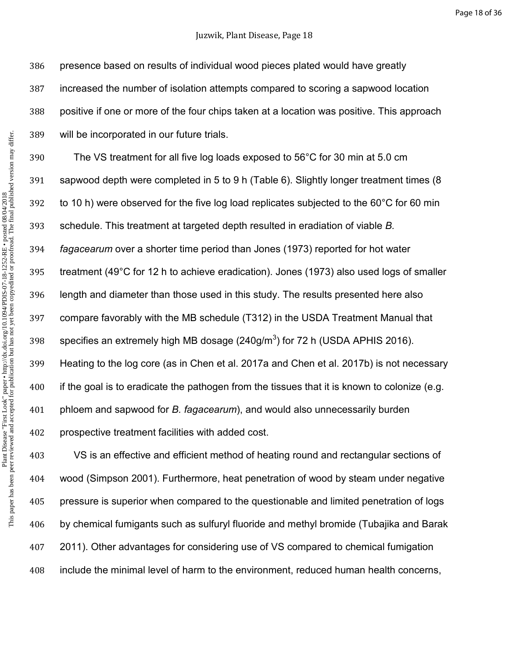## Juzwik, Plant Disease, Page 18

This paper has been peer reviewed and accepted for publication but has not yet been copyedited or proofread. The final published version may differ.Plant Disease "First Look" paper • http://dx.doi.org/10.1094/PDIS-07-18-1252-RE • posted 08/04/2018<br>This paper has been peer reviewed and accepted for publication but has not yet been copyedited or proofread. The final pub Plant Disease "First Look" paper • http://dx.doi.org/10.1094/PDIS-07-18-1252-RE • posted 08/04/2018

presence based on results of individual wood pieces plated would have greatly increased the number of isolation attempts compared to scoring a sapwood location positive if one or more of the four chips taken at a location was positive. This approach will be incorporated in our future trials.

The VS treatment for all five log loads exposed to 56°C for 30 min at 5.0 cm sapwood depth were completed in 5 to 9 h (Table 6). Slightly longer treatment times (8 to 10 h) were observed for the five log load replicates subjected to the 60°C for 60 min schedule. This treatment at targeted depth resulted in eradiation of viable *B. fagacearum* over a shorter time period than Jones (1973) reported for hot water treatment (49°C for 12 h to achieve eradication). Jones (1973) also used logs of smaller length and diameter than those used in this study. The results presented here also compare favorably with the MB schedule (T312) in the USDA Treatment Manual that 398 specifies an extremely high MB dosage (240g/m<sup>3</sup>) for 72 h (USDA APHIS 2016). Heating to the log core (as in Chen et al. 2017a and Chen et al. 2017b) is not necessary if the goal is to eradicate the pathogen from the tissues that it is known to colonize (e.g. phloem and sapwood for *B. fagacearum*), and would also unnecessarily burden prospective treatment facilities with added cost.

VS is an effective and efficient method of heating round and rectangular sections of wood (Simpson 2001). Furthermore, heat penetration of wood by steam under negative pressure is superior when compared to the questionable and limited penetration of logs by chemical fumigants such as sulfuryl fluoride and methyl bromide (Tubajika and Barak 2011). Other advantages for considering use of VS compared to chemical fumigation include the minimal level of harm to the environment, reduced human health concerns,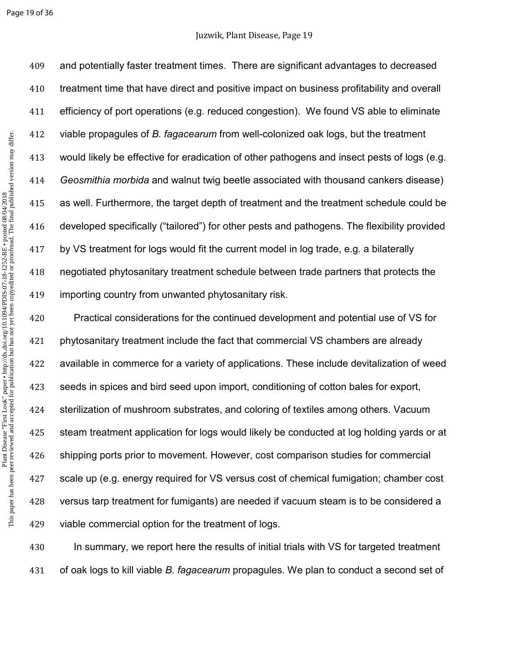#### Page 19 of 36

and potentially faster treatment times. There are significant advantages to decreased treatment time that have direct and positive impact on business profitability and overall efficiency of port operations (e.g. reduced congestion). We found VS able to eliminate viable propagules of *B. fagacearum* from well-colonized oak logs, but the treatment would likely be effective for eradication of other pathogens and insect pests of logs (e.g. *Geosmithia morbida* and walnut twig beetle associated with thousand cankers disease) as well. Furthermore, the target depth of treatment and the treatment schedule could be developed specifically ("tailored") for other pests and pathogens. The flexibility provided by VS treatment for logs would fit the current model in log trade, e.g. a bilaterally negotiated phytosanitary treatment schedule between trade partners that protects the importing country from unwanted phytosanitary risk.

Practical considerations for the continued development and potential use of VS for phytosanitary treatment include the fact that commercial VS chambers are already available in commerce for a variety of applications. These include devitalization of weed seeds in spices and bird seed upon import, conditioning of cotton bales for export, sterilization of mushroom substrates, and coloring of textiles among others. Vacuum steam treatment application for logs would likely be conducted at log holding yards or at shipping ports prior to movement. However, cost comparison studies for commercial scale up (e.g. energy required for VS versus cost of chemical fumigation; chamber cost versus tarp treatment for fumigants) are needed if vacuum steam is to be considered a viable commercial option for the treatment of logs.

In summary, we report here the results of initial trials with VS for targeted treatment of oak logs to kill viable *B. fagacearum* propagules. We plan to conduct a second set of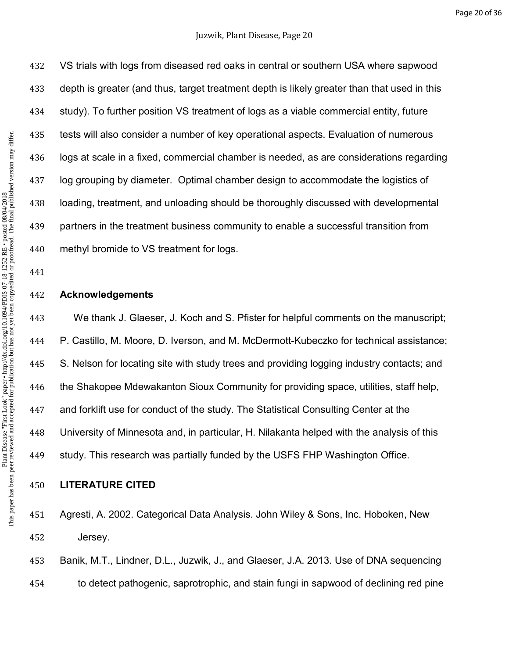VS trials with logs from diseased red oaks in central or southern USA where sapwood depth is greater (and thus, target treatment depth is likely greater than that used in this study). To further position VS treatment of logs as a viable commercial entity, future tests will also consider a number of key operational aspects. Evaluation of numerous logs at scale in a fixed, commercial chamber is needed, as are considerations regarding log grouping by diameter. Optimal chamber design to accommodate the logistics of loading, treatment, and unloading should be thoroughly discussed with developmental partners in the treatment business community to enable a successful transition from methyl bromide to VS treatment for logs.

## **Acknowledgements**

We thank J. Glaeser, J. Koch and S. Pfister for helpful comments on the manuscript; P. Castillo, M. Moore, D. Iverson, and M. McDermott-Kubeczko for technical assistance; S. Nelson for locating site with study trees and providing logging industry contacts; and the Shakopee Mdewakanton Sioux Community for providing space, utilities, staff help, and forklift use for conduct of the study. The Statistical Consulting Center at the University of Minnesota and, in particular, H. Nilakanta helped with the analysis of this study. This research was partially funded by the USFS FHP Washington Office.

## **LITERATURE CITED**

Agresti, A. 2002. Categorical Data Analysis. John Wiley & Sons, Inc. Hoboken, New Jersey.

Banik, M.T., Lindner, D.L., Juzwik, J., and Glaeser, J.A. 2013. Use of DNA sequencing to detect pathogenic, saprotrophic, and stain fungi in sapwood of declining red pine

This paper has been peer reviewed and accepted for publication but has not yet been copyedited or proofread. The final published version may differ.Plant Disease "First Look" paper • http://dx.doi.org/10.1094/PDIS-07-18-1252-RE • posted 08/04/2018<br>This paper has been peer reviewed and accepted for publication but has not yet been copyedited or proofread. The final pub Plant Disease "First Look" paper • http://dx.doi.org/10.1094/PDIS-07-18-1252-RE • posted 08/04/2018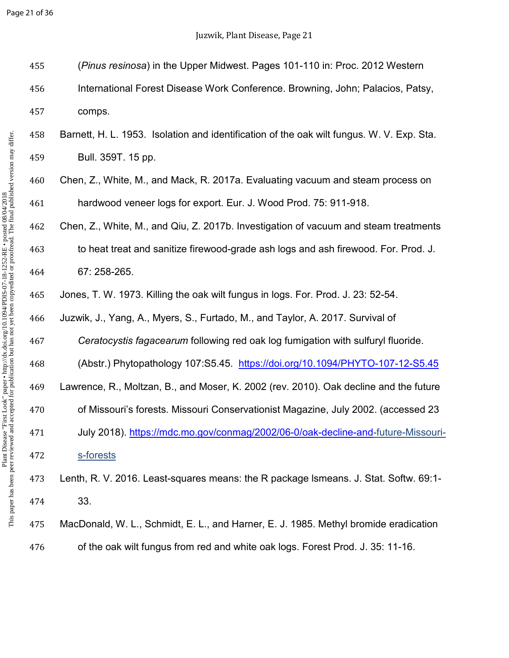Page 21 of 36

| 455 | (Pinus resinosa) in the Upper Midwest. Pages 101-110 in: Proc. 2012 Western               |
|-----|-------------------------------------------------------------------------------------------|
| 456 | International Forest Disease Work Conference. Browning, John; Palacios, Patsy,            |
| 457 | comps.                                                                                    |
| 458 | Barnett, H. L. 1953. Isolation and identification of the oak wilt fungus. W. V. Exp. Sta. |
| 459 | Bull. 359T. 15 pp.                                                                        |
| 460 | Chen, Z., White, M., and Mack, R. 2017a. Evaluating vacuum and steam process on           |
| 461 | hardwood veneer logs for export. Eur. J. Wood Prod. 75: 911-918.                          |
| 462 | Chen, Z., White, M., and Qiu, Z. 2017b. Investigation of vacuum and steam treatments      |
| 463 | to heat treat and sanitize firewood-grade ash logs and ash firewood. For. Prod. J.        |
| 464 | 67: 258-265.                                                                              |
| 465 | Jones, T. W. 1973. Killing the oak wilt fungus in logs. For. Prod. J. 23: 52-54.          |
| 466 | Juzwik, J., Yang, A., Myers, S., Furtado, M., and Taylor, A. 2017. Survival of            |
| 467 | Ceratocystis fagacearum following red oak log fumigation with sulfuryl fluoride.          |
| 468 | (Abstr.) Phytopathology 107:S5.45. https://doi.org/10.1094/PHYTO-107-12-S5.45             |
| 469 | Lawrence, R., Moltzan, B., and Moser, K. 2002 (rev. 2010). Oak decline and the future     |
| 470 | of Missouri's forests. Missouri Conservationist Magazine, July 2002. (accessed 23         |
| 471 | July 2018). https://mdc.mo.gov/conmag/2002/06-0/oak-decline-and-future-Missouri-          |
| 472 | s-forests                                                                                 |
| 473 | Lenth, R. V. 2016. Least-squares means: the R package Ismeans. J. Stat. Softw. 69:1-      |
| 474 | 33.                                                                                       |
| 475 | MacDonald, W. L., Schmidt, E. L., and Harner, E. J. 1985. Methyl bromide eradication      |
| 476 | of the oak wilt fungus from red and white oak logs. Forest Prod. J. 35: 11-16.            |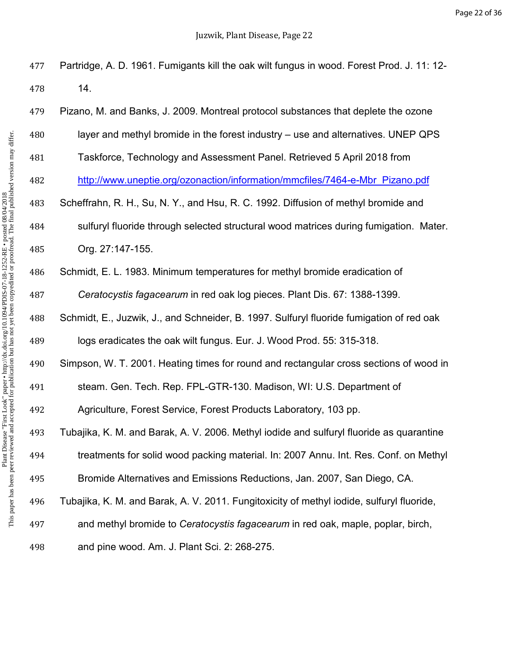Partridge, A. D. 1961. Fumigants kill the oak wilt fungus in wood. Forest Prod. J. 11: 12-

| 478 | 14.                                                                                       |
|-----|-------------------------------------------------------------------------------------------|
| 479 | Pizano, M. and Banks, J. 2009. Montreal protocol substances that deplete the ozone        |
| 480 | layer and methyl bromide in the forest industry – use and alternatives. UNEP QPS          |
| 481 | Taskforce, Technology and Assessment Panel. Retrieved 5 April 2018 from                   |
| 482 | http://www.uneptie.org/ozonaction/information/mmcfiles/7464-e-Mbr Pizano.pdf              |
| 483 | Scheffrahn, R. H., Su, N. Y., and Hsu, R. C. 1992. Diffusion of methyl bromide and        |
| 484 | sulfuryl fluoride through selected structural wood matrices during fumigation. Mater.     |
| 485 | Org. 27:147-155.                                                                          |
| 486 | Schmidt, E. L. 1983. Minimum temperatures for methyl bromide eradication of               |
| 487 | Ceratocystis fagacearum in red oak log pieces. Plant Dis. 67: 1388-1399.                  |
| 488 | Schmidt, E., Juzwik, J., and Schneider, B. 1997. Sulfuryl fluoride fumigation of red oak  |
| 489 | logs eradicates the oak wilt fungus. Eur. J. Wood Prod. 55: 315-318.                      |
| 490 | Simpson, W. T. 2001. Heating times for round and rectangular cross sections of wood in    |
| 491 | steam. Gen. Tech. Rep. FPL-GTR-130. Madison, WI: U.S. Department of                       |
| 492 | Agriculture, Forest Service, Forest Products Laboratory, 103 pp.                          |
| 493 | Tubajika, K. M. and Barak, A. V. 2006. Methyl iodide and sulfuryl fluoride as quarantine  |
| 494 | treatments for solid wood packing material. In: 2007 Annu. Int. Res. Conf. on Methyl      |
| 495 | Bromide Alternatives and Emissions Reductions, Jan. 2007, San Diego, CA.                  |
| 496 | Tubajika, K. M. and Barak, A. V. 2011. Fungitoxicity of methyl iodide, sulfuryl fluoride, |
| 497 | and methyl bromide to Ceratocystis fagacearum in red oak, maple, poplar, birch,           |
| 498 | and pine wood. Am. J. Plant Sci. 2: 268-275.                                              |
|     |                                                                                           |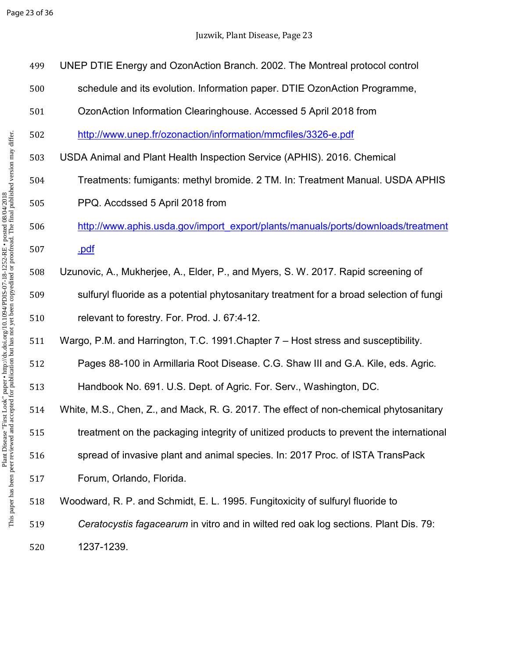| 499 | UNEP DTIE Energy and OzonAction Branch. 2002. The Montreal protocol control             |
|-----|-----------------------------------------------------------------------------------------|
| 500 | schedule and its evolution. Information paper. DTIE OzonAction Programme,               |
| 501 | OzonAction Information Clearinghouse. Accessed 5 April 2018 from                        |
| 502 | http://www.unep.fr/ozonaction/information/mmcfiles/3326-e.pdf                           |
| 503 | USDA Animal and Plant Health Inspection Service (APHIS). 2016. Chemical                 |
| 504 | Treatments: fumigants: methyl bromide. 2 TM. In: Treatment Manual. USDA APHIS           |
| 505 | PPQ. Accdssed 5 April 2018 from                                                         |
| 506 | http://www.aphis.usda.gov/import_export/plants/manuals/ports/downloads/treatment        |
| 507 | .pdf                                                                                    |
| 508 | Uzunovic, A., Mukherjee, A., Elder, P., and Myers, S. W. 2017. Rapid screening of       |
| 509 | sulfuryl fluoride as a potential phytosanitary treatment for a broad selection of fungi |
|     |                                                                                         |
| 510 | relevant to forestry. For. Prod. J. 67:4-12.                                            |
| 511 | Wargo, P.M. and Harrington, T.C. 1991. Chapter 7 – Host stress and susceptibility.      |
| 512 | Pages 88-100 in Armillaria Root Disease. C.G. Shaw III and G.A. Kile, eds. Agric.       |
| 513 | Handbook No. 691. U.S. Dept. of Agric. For. Serv., Washington, DC.                      |
| 514 | White, M.S., Chen, Z., and Mack, R. G. 2017. The effect of non-chemical phytosanitary   |
| 515 | treatment on the packaging integrity of unitized products to prevent the international  |
| 516 | spread of invasive plant and animal species. In: 2017 Proc. of ISTA TransPack           |
| 517 | Forum, Orlando, Florida.                                                                |
| 518 | Woodward, R. P. and Schmidt, E. L. 1995. Fungitoxicity of sulfuryl fluoride to          |
| 519 | Ceratocystis fagacearum in vitro and in wilted red oak log sections. Plant Dis. 79:     |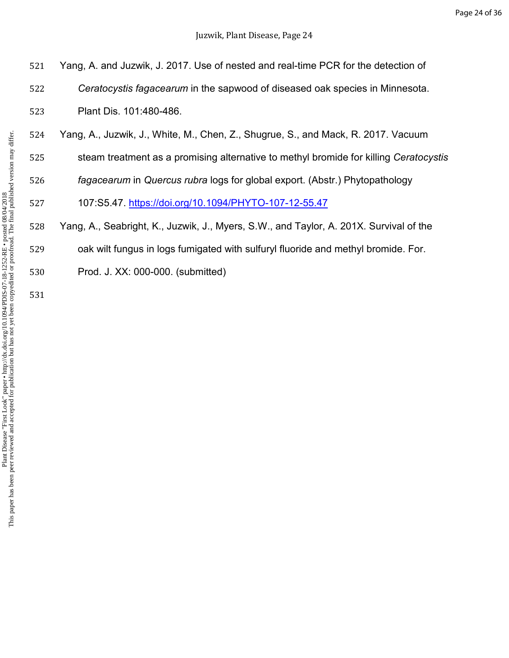| 521 | Yang, A. and Juzwik, J. 2017. Use of nested and real-time PCR for the detection of     |
|-----|----------------------------------------------------------------------------------------|
| 522 | Ceratocystis fagacearum in the sapwood of diseased oak species in Minnesota.           |
| 523 | Plant Dis. 101:480-486.                                                                |
| 524 | Yang, A., Juzwik, J., White, M., Chen, Z., Shugrue, S., and Mack, R. 2017. Vacuum      |
| 525 | steam treatment as a promising alternative to methyl bromide for killing Ceratocystis  |
| 526 | fagacearum in Quercus rubra logs for global export. (Abstr.) Phytopathology            |
| 527 | 107:S5.47. https://doi.org/10.1094/PHYTO-107-12-55.47                                  |
| 528 | Yang, A., Seabright, K., Juzwik, J., Myers, S.W., and Taylor, A. 201X. Survival of the |
| 529 | oak wilt fungus in logs fumigated with sulfuryl fluoride and methyl bromide. For.      |

Prod. J. XX: 000-000. (submitted)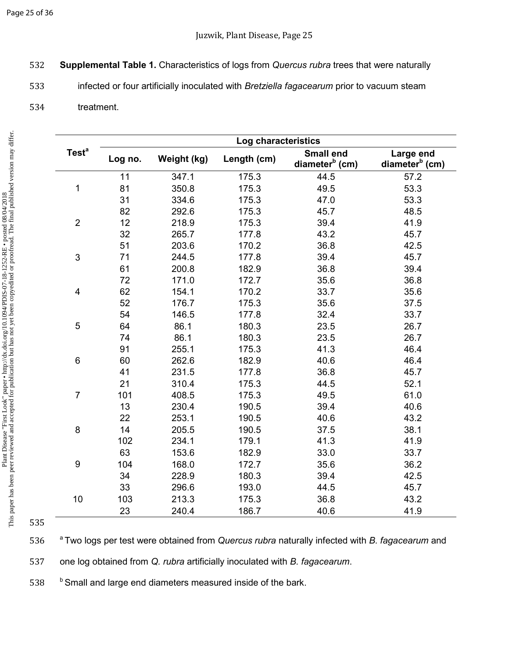## Page 25 of 36

- 532 **Supplemental Table 1.** Characteristics of logs from *Quercus rubra* trees that were naturally
- 533 infected or four artificially inoculated with *Bretziella fagacearum* prior to vacuum steam
- 534 treatment.

|                         | Log characteristics |             |             |                                                |                                         |  |  |  |
|-------------------------|---------------------|-------------|-------------|------------------------------------------------|-----------------------------------------|--|--|--|
| Test <sup>a</sup>       | Log no.             | Weight (kg) | Length (cm) | <b>Small end</b><br>diameter <sup>b</sup> (cm) | Large end<br>diameter <sup>b</sup> (cm) |  |  |  |
|                         | 11                  | 347.1       | 175.3       | 44.5                                           | 57.2                                    |  |  |  |
| 1                       | 81                  | 350.8       | 175.3       | 49.5                                           | 53.3                                    |  |  |  |
|                         | 31                  | 334.6       | 175.3       | 47.0                                           | 53.3                                    |  |  |  |
|                         | 82                  | 292.6       | 175.3       | 45.7                                           | 48.5                                    |  |  |  |
| $\overline{2}$          | 12                  | 218.9       | 175.3       | 39.4                                           | 41.9                                    |  |  |  |
|                         | 32                  | 265.7       | 177.8       | 43.2                                           | 45.7                                    |  |  |  |
|                         | 51                  | 203.6       | 170.2       | 36.8                                           | 42.5                                    |  |  |  |
| 3                       | 71                  | 244.5       | 177.8       | 39.4                                           | 45.7                                    |  |  |  |
|                         | 61                  | 200.8       | 182.9       | 36.8                                           | 39.4                                    |  |  |  |
|                         | 72                  | 171.0       | 172.7       | 35.6                                           | 36.8                                    |  |  |  |
| $\overline{\mathbf{4}}$ | 62                  | 154.1       | 170.2       | 33.7                                           | 35.6                                    |  |  |  |
|                         | 52                  | 176.7       | 175.3       | 35.6                                           | 37.5                                    |  |  |  |
|                         | 54                  | 146.5       | 177.8       | 32.4                                           | 33.7                                    |  |  |  |
| 5                       | 64                  | 86.1        | 180.3       | 23.5                                           | 26.7                                    |  |  |  |
|                         | 74                  | 86.1        | 180.3       | 23.5                                           | 26.7                                    |  |  |  |
|                         | 91                  | 255.1       | 175.3       | 41.3                                           | 46.4                                    |  |  |  |
| $\,6$                   | 60                  | 262.6       | 182.9       | 40.6                                           | 46.4                                    |  |  |  |
|                         | 41                  | 231.5       | 177.8       | 36.8                                           | 45.7                                    |  |  |  |
|                         | 21                  | 310.4       | 175.3       | 44.5                                           | 52.1                                    |  |  |  |
| $\overline{7}$          | 101                 | 408.5       | 175.3       | 49.5                                           | 61.0                                    |  |  |  |
|                         | 13                  | 230.4       | 190.5       | 39.4                                           | 40.6                                    |  |  |  |
|                         | 22                  | 253.1       | 190.5       | 40.6                                           | 43.2                                    |  |  |  |
| $\bf 8$                 | 14                  | 205.5       | 190.5       | 37.5                                           | 38.1                                    |  |  |  |
|                         | 102                 | 234.1       | 179.1       | 41.3                                           | 41.9                                    |  |  |  |
|                         | 63                  | 153.6       | 182.9       | 33.0                                           | 33.7                                    |  |  |  |
| $\boldsymbol{9}$        | 104                 | 168.0       | 172.7       | 35.6                                           | 36.2                                    |  |  |  |
|                         | 34                  | 228.9       | 180.3       | 39.4                                           | 42.5                                    |  |  |  |
|                         | 33                  | 296.6       | 193.0       | 44.5                                           | 45.7                                    |  |  |  |
| 10                      | 103                 | 213.3       | 175.3       | 36.8                                           | 43.2                                    |  |  |  |
|                         | 23                  | 240.4       | 186.7       | 40.6                                           | 41.9                                    |  |  |  |

535

<sup>a</sup>536 Two logs per test were obtained from *Quercus rubra* naturally infected with *B. fagacearum* and

537 one log obtained from *Q. rubra* artificially inoculated with *B. fagacearum*.

538 b Small and large end diameters measured inside of the bark.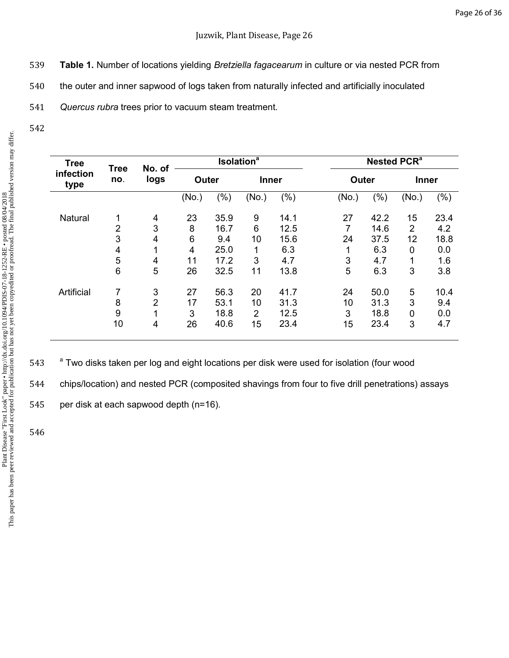- 539 **Table 1.** Number of locations yielding *Bretziella fagacearum* in culture or via nested PCR from
- 540 the outer and inner sapwood of logs taken from naturally infected and artificially inoculated

541 *Quercus rubra* trees prior to vacuum steam treatment.

542

| <b>Tree</b>       | No. of<br><b>Tree</b> |                | <b>Isolation</b> <sup>a</sup> |      |                | Nested PCR <sup>a</sup> |       |      |                |      |
|-------------------|-----------------------|----------------|-------------------------------|------|----------------|-------------------------|-------|------|----------------|------|
| infection<br>type | no.                   | logs           | <b>Outer</b>                  |      | <b>Inner</b>   |                         | Outer |      | <b>Inner</b>   |      |
|                   |                       |                | (No.)                         | (% ) | (No.)          | $(\% )$                 | (No.) | (%)  | (No.)          | (% ) |
| Natural           | $\mathbf{1}$          | 4              | 23                            | 35.9 | 9              | 14.1                    | 27    | 42.2 | 15             | 23.4 |
|                   | $\overline{2}$        | 3              | 8                             | 16.7 | 6              | 12.5                    | 7     | 14.6 | $\overline{2}$ | 4.2  |
|                   | 3                     | 4              | 6                             | 9.4  | 10             | 15.6                    | 24    | 37.5 | 12             | 18.8 |
|                   | 4                     | 4              | $\overline{4}$                | 25.0 | 1              | 6.3                     | 1     | 6.3  | 0              | 0.0  |
|                   | 5                     | 4              | 11                            | 17.2 | 3              | 4.7                     | 3     | 4.7  | 1              | 1.6  |
|                   | 6                     | 5              | 26                            | 32.5 | 11             | 13.8                    | 5     | 6.3  | 3              | 3.8  |
| Artificial        | 7                     | 3              | 27                            | 56.3 | 20             | 41.7                    | 24    | 50.0 | 5              | 10.4 |
|                   | 8                     | $\overline{2}$ | 17                            | 53.1 | 10             | 31.3                    | 10    | 31.3 | 3              | 9.4  |
|                   | 9                     | 4              | 3                             | 18.8 | $\overline{2}$ | 12.5                    | 3     | 18.8 | 0              | 0.0  |
|                   | 10                    | 4              | 26                            | 40.6 | 15             | 23.4                    | 15    | 23.4 | 3              | 4.7  |

543 <sup>a</sup> Two disks taken per log and eight locations per disk were used for isolation (four wood

544 chips/location) and nested PCR (composited shavings from four to five drill penetrations) assays

545 per disk at each sapwood depth (n=16).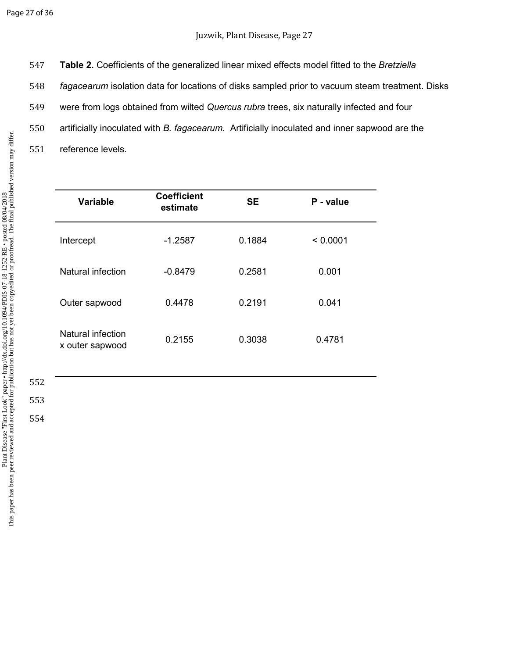**Table 2.** Coefficients of the generalized linear mixed effects model fitted to the *Bretziella fagacearum* isolation data for locations of disks sampled prior to vacuum steam treatment. Disks were from logs obtained from wilted *Quercus rubra* trees, six naturally infected and four artificially inoculated with *B. fagacearum*. Artificially inoculated and inner sapwood are the reference levels.

| <b>Variable</b>                      | <b>Coefficient</b><br>estimate | <b>SE</b> | P - value |
|--------------------------------------|--------------------------------|-----------|-----------|
| Intercept                            | $-1.2587$                      | 0.1884    | < 0.0001  |
| Natural infection                    | $-0.8479$                      | 0.2581    | 0.001     |
| Outer sapwood                        | 0.4478                         | 0.2191    | 0.041     |
| Natural infection<br>x outer sapwood | 0.2155                         | 0.3038    | 0.4781    |

 552 553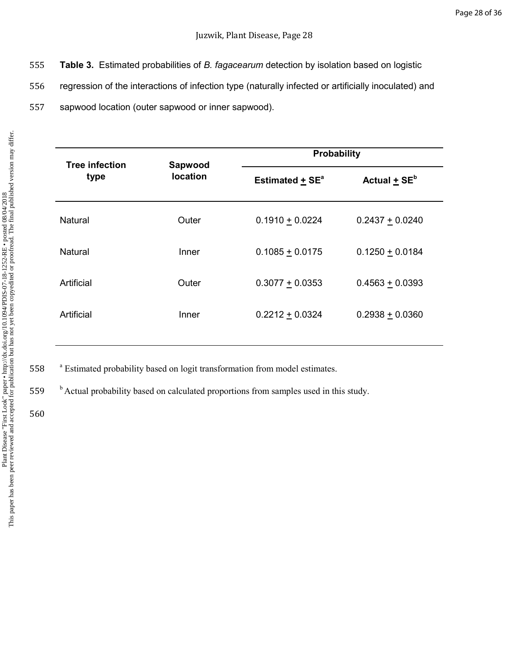- 555 **Table 3.** Estimated probabilities of *B. fagacearum* detection by isolation based on logistic
- 556 regression of the interactions of infection type (naturally infected or artificially inoculated) and
- 557 sapwood location (outer sapwood or inner sapwood).

| <b>Tree infection</b> | Sapwood<br><b>location</b> |                                 | <b>Probability</b>           |  |  |  |
|-----------------------|----------------------------|---------------------------------|------------------------------|--|--|--|
| type                  |                            | Estimated $\pm$ SE <sup>a</sup> | Actual $\pm$ SE <sup>b</sup> |  |  |  |
| Natural               | Outer                      | $0.1910 + 0.0224$               | $0.2437 + 0.0240$            |  |  |  |
| Natural               | Inner                      | $0.1085 + 0.0175$               | $0.1250 + 0.0184$            |  |  |  |
| Artificial            | Outer                      | $0.3077 + 0.0353$               | $0.4563 + 0.0393$            |  |  |  |
| Artificial            | Inner                      | $0.2212 + 0.0324$               | $0.2938 + 0.0360$            |  |  |  |

558 <sup>a</sup> Estimated probability based on logit transformation from model estimates.

<sup>b</sup>559 Actual probability based on calculated proportions from samples used in this study.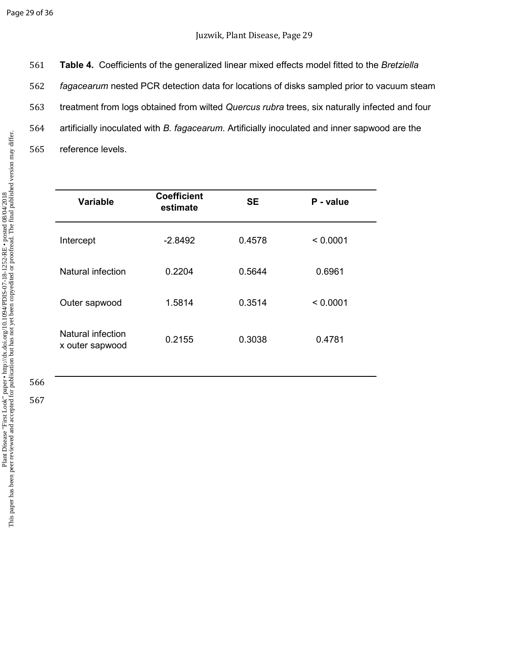**Table 4.** Coefficients of the generalized linear mixed effects model fitted to the *Bretziella fagacearum* nested PCR detection data for locations of disks sampled prior to vacuum steam treatment from logs obtained from wilted *Quercus rubra* trees, six naturally infected and four artificially inoculated with *B. fagacearum*. Artificially inoculated and inner sapwood are the reference levels.

| <b>Variable</b>                      | <b>Coefficient</b><br>estimate | <b>SE</b> | P - value |
|--------------------------------------|--------------------------------|-----------|-----------|
| Intercept                            | $-2.8492$                      | 0.4578    | < 0.0001  |
| Natural infection                    | 0.2204                         | 0.5644    | 0.6961    |
| Outer sapwood                        | 1.5814                         | 0.3514    | < 0.0001  |
| Natural infection<br>x outer sapwood | 0.2155                         | 0.3038    | 0.4781    |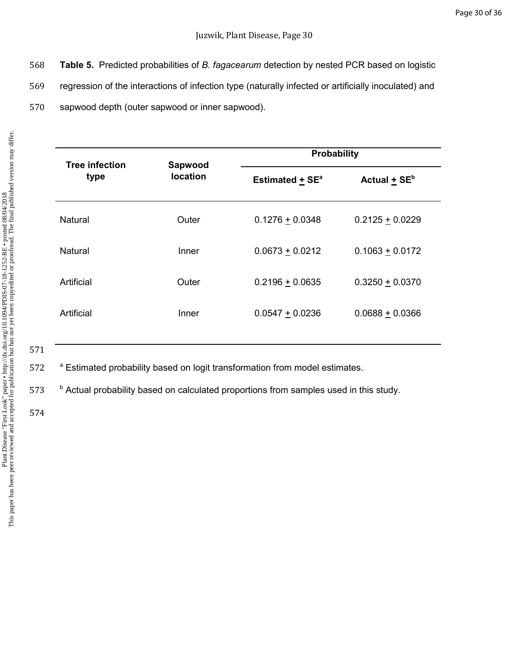- 568 **Table 5.** Predicted probabilities of *B. fagacearum* detection by nested PCR based on logistic
- 569 regression of the interactions of infection type (naturally infected or artificially inoculated) and
- 570 sapwood depth (outer sapwood or inner sapwood).

| <b>Tree infection</b> | Sapwood         |                               | Probability       |  |  |  |
|-----------------------|-----------------|-------------------------------|-------------------|--|--|--|
| type                  | <b>location</b> | Estimated $+$ SE <sup>a</sup> | Actual + $SEb$    |  |  |  |
| Natural               | Outer           | $0.1276 + 0.0348$             | $0.2125 + 0.0229$ |  |  |  |
| Natural               | Inner           | $0.0673 + 0.0212$             | $0.1063 + 0.0172$ |  |  |  |
| Artificial            | Outer           | $0.2196 \pm 0.0635$           | $0.3250 + 0.0370$ |  |  |  |
| Artificial            | Inner           | $0.0547 + 0.0236$             | $0.0688 + 0.0366$ |  |  |  |
|                       |                 |                               |                   |  |  |  |

571

572 <sup>a</sup> Estimated probability based on logit transformation from model estimates.

573 b Actual probability based on calculated proportions from samples used in this study.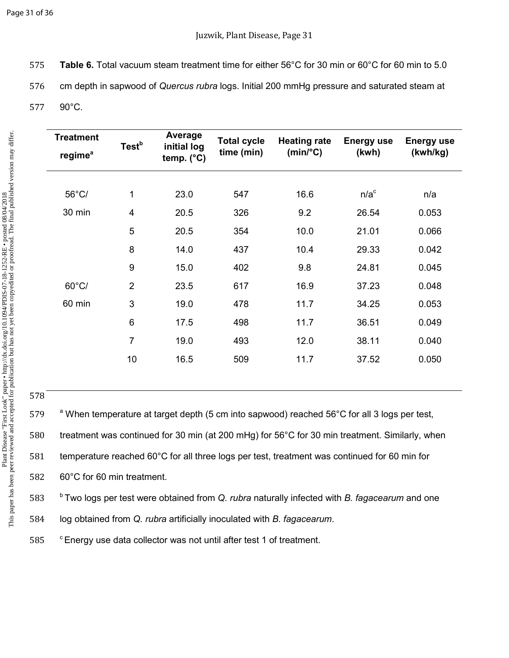575 **Table 6.** Total vacuum steam treatment time for either 56°C for 30 min or 60°C for 60 min to 5.0 576 cm depth in sapwood of *Quercus rubra* logs. Initial 200 mmHg pressure and saturated steam at

577 90°C.

| <b>Treatment</b><br>regime <sup>a</sup> | Test <sup>b</sup>       | Average<br>initial log | <b>Total cycle</b><br>time (min) | <b>Heating rate</b><br>$(min$ <sup>o</sup> C) | <b>Energy use</b><br>(kwh) | <b>Energy use</b><br>(kwh/kg) |
|-----------------------------------------|-------------------------|------------------------|----------------------------------|-----------------------------------------------|----------------------------|-------------------------------|
|                                         |                         | temp. $(^{\circ}C)$    |                                  |                                               |                            |                               |
| 56°C/                                   | 1                       | 23.0                   | 547                              | 16.6                                          | $n/a^c$                    | n/a                           |
| 30 min                                  | $\overline{\mathbf{4}}$ | 20.5                   | 326                              | 9.2                                           | 26.54                      | 0.053                         |
|                                         | 5                       | 20.5                   | 354                              | 10.0                                          | 21.01                      | 0.066                         |
|                                         | 8                       | 14.0                   | 437                              | 10.4                                          | 29.33                      | 0.042                         |
|                                         | 9                       | 15.0                   | 402                              | 9.8                                           | 24.81                      | 0.045                         |
| $60^{\circ}$ C/                         | $\overline{2}$          | 23.5                   | 617                              | 16.9                                          | 37.23                      | 0.048                         |
| 60 min                                  | 3                       | 19.0                   | 478                              | 11.7                                          | 34.25                      | 0.053                         |
|                                         | $6\phantom{1}6$         | 17.5                   | 498                              | 11.7                                          | 36.51                      | 0.049                         |
|                                         | $\overline{7}$          | 19.0                   | 493                              | 12.0                                          | 38.11                      | 0.040                         |
|                                         | 10                      | 16.5                   | 509                              | 11.7                                          | 37.52                      | 0.050                         |
|                                         |                         |                        |                                  |                                               |                            |                               |

578

579 <sup>a</sup> When temperature at target depth (5 cm into sapwood) reached 56°C for all 3 logs per test, treatment was continued for 30 min (at 200 mHg) for 56°C for 30 min treatment. Similarly, when temperature reached 60°C for all three logs per test, treatment was continued for 60 min for 60°C for 60 min treatment.

<sup>b</sup>583 Two logs per test were obtained from *Q. rubra* naturally infected with *B. fagacearum* and one 584 log obtained from *Q. rubra* artificially inoculated with *B. fagacearum*.

585 <sup>c</sup> Energy use data collector was not until after test 1 of treatment.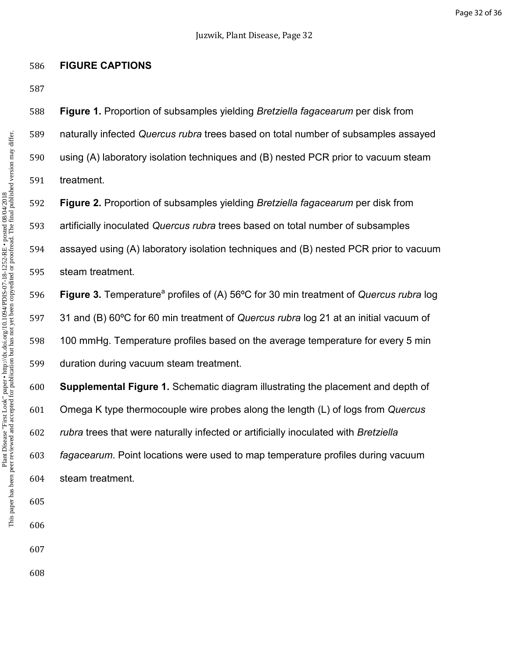**Figure 1.** Proportion of subsamples yielding *Bretziella fagacearum* per disk from

naturally infected *Quercus rubra* trees based on total number of subsamples assayed

using (A) laboratory isolation techniques and (B) nested PCR prior to vacuum steam

treatment.

**FIGURE CAPTIONS** 

**Figure 2.** Proportion of subsamples yielding *Bretziella fagacearum* per disk from

artificially inoculated *Quercus rubra* trees based on total number of subsamples

assayed using (A) laboratory isolation techniques and (B) nested PCR prior to vacuum steam treatment.

**Figure 3.** Temperature<sup>a</sup> profiles of (A) 56°C for 30 min treatment of *Quercus rubra* log 31 and (B) 60ºC for 60 min treatment of *Quercus rubra* log 21 at an initial vacuum of 100 mmHg. Temperature profiles based on the average temperature for every 5 min duration during vacuum steam treatment.

**Supplemental Figure 1.** Schematic diagram illustrating the placement and depth of Omega K type thermocouple wire probes along the length (L) of logs from *Quercus rubra* trees that were naturally infected or artificially inoculated with *Bretziella fagacearum*. Point locations were used to map temperature profiles during vacuum steam treatment.

- 
-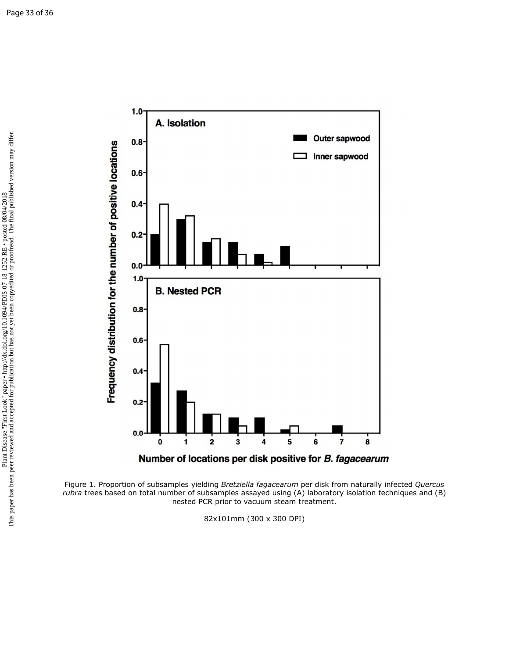

Figure 1. Proportion of subsamples yielding *Bretziella fagacearum* per disk from naturally infected *Quercus rubra* trees based on total number of subsamples assayed using (A) laboratory isolation techniques and (B) nested PCR prior to vacuum steam treatment.

82x101mm (300 x 300 DPI)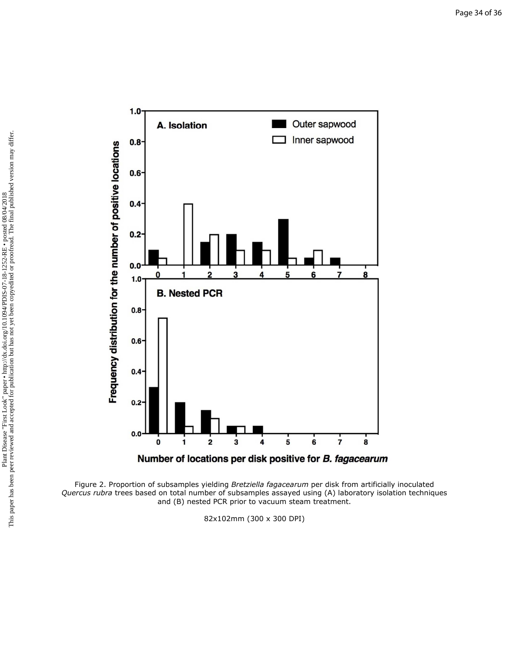

Figure 2. Proportion of subsamples yielding *Bretziella fagacearum* per disk from artificially inoculated *Quercus rubra* trees based on total number of subsamples assayed using (A) laboratory isolation techniques and (B) nested PCR prior to vacuum steam treatment.

82x102mm (300 x 300 DPI)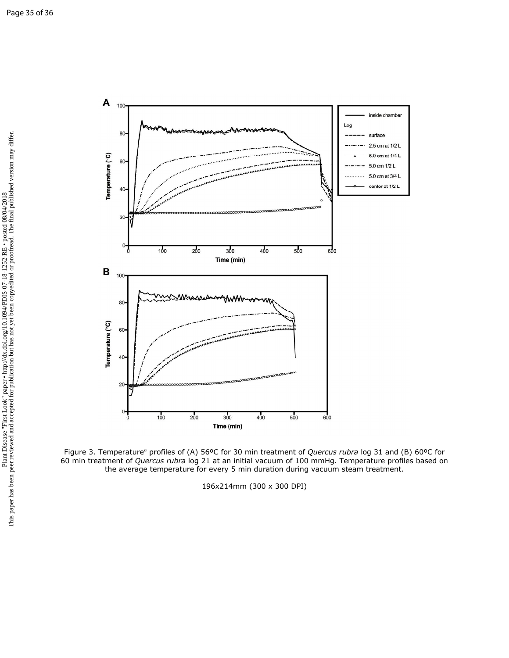

Figure 3. Temperature<sup>a</sup> profiles of (A) 56°C for 30 min treatment of *Quercus rubra* log 31 and (B) 60°C for 60 min treatment of *Quercus rubra* log 21 at an initial vacuum of 100 mmHg. Temperature profiles based on the average temperature for every 5 min duration during vacuum steam treatment.

196x214mm (300 x 300 DPI)